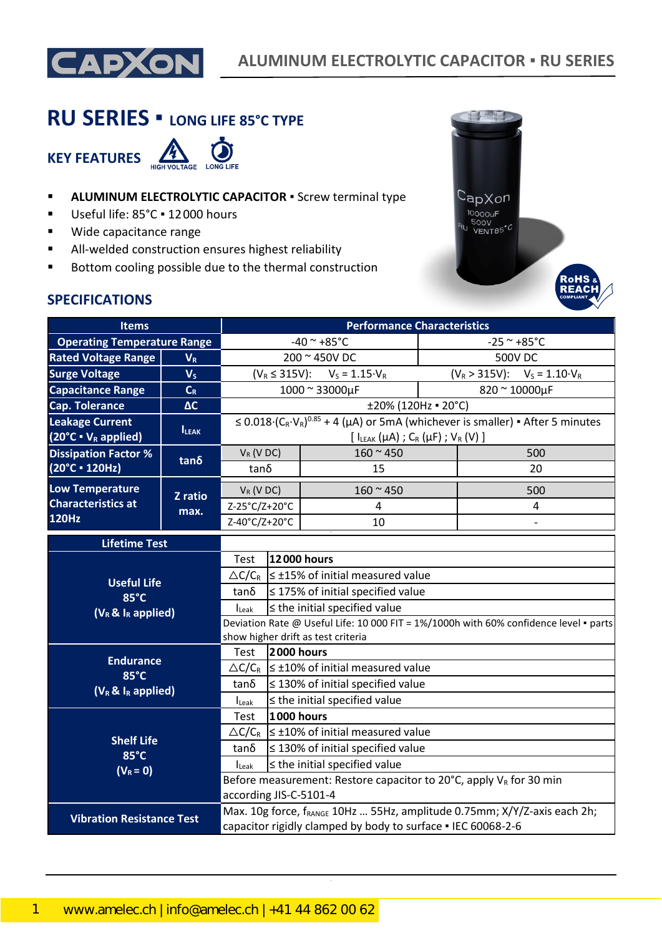

# **RU SERIES ▪ LONG LIFE 85°C TYPE**



- **E** ALUMINUM ELECTROLYTIC CAPACITOR **·** Screw terminal type
- Useful life: 85°C · 12000 hours
- Wide capacitance range
- All-welded construction ensures highest reliability
- Bottom cooling possible due to the thermal construction



### **SPECIFICATIONS**

| <b>Items</b>                                                |                | <b>Performance Characteristics</b>                                                                                                                   |                                                             |                                                                                           |                  |                                                                                                |  |
|-------------------------------------------------------------|----------------|------------------------------------------------------------------------------------------------------------------------------------------------------|-------------------------------------------------------------|-------------------------------------------------------------------------------------------|------------------|------------------------------------------------------------------------------------------------|--|
| <b>Operating Temperature Range</b>                          |                | $-40$ ~ $+85$ °C                                                                                                                                     |                                                             |                                                                                           | $-25$ ~ $+85$ °C |                                                                                                |  |
| <b>Rated Voltage Range</b>                                  | $V_R$          |                                                                                                                                                      |                                                             | 200 ~ 450V DC                                                                             | 500V DC          |                                                                                                |  |
| <b>Surge Voltage</b>                                        | V <sub>s</sub> |                                                                                                                                                      |                                                             | $(V_R \leq 315V)$ : $V_S = 1.15 \cdot V_R$                                                |                  | $(V_R > 315V)$ : $V_S = 1.10 V_R$                                                              |  |
| <b>Capacitance Range</b>                                    | $C_R$          |                                                                                                                                                      |                                                             | 1000 ~ 33000µF                                                                            |                  | 820 ~ 10000µF                                                                                  |  |
| <b>Cap. Tolerance</b>                                       | $\Delta C$     |                                                                                                                                                      |                                                             | ±20% (120Hz = 20°C)                                                                       |                  |                                                                                                |  |
| <b>Leakage Current</b><br>$(20^{\circ}C \cdot V_R$ applied) | <b>ILEAK</b>   |                                                                                                                                                      |                                                             | [ $l_{LEAK}(\mu A)$ ; C <sub>R</sub> ( $\mu$ F); V <sub>R</sub> (V)]                      |                  | $\leq$ 0.018 $(C_R \cdot V_R)^{0.85}$ + 4 (µA) or 5mA (whichever is smaller) • After 5 minutes |  |
| <b>Dissipation Factor %</b>                                 |                | $V_R$ (V DC)                                                                                                                                         |                                                             | $160 - 450$                                                                               |                  | 500                                                                                            |  |
| (20°C · 120Hz)                                              | $tan\delta$    | $tan\delta$                                                                                                                                          |                                                             | 15                                                                                        |                  | 20                                                                                             |  |
| <b>Low Temperature</b>                                      | Z ratio        | $V_R$ (V DC)                                                                                                                                         |                                                             | $160 - 450$                                                                               |                  | 500                                                                                            |  |
| <b>Characteristics at</b>                                   | max.           | Z-25°C/Z+20°C                                                                                                                                        |                                                             | 4                                                                                         |                  | 4                                                                                              |  |
| <b>120Hz</b>                                                |                | Z-40°C/Z+20°C                                                                                                                                        |                                                             | 10                                                                                        |                  |                                                                                                |  |
| <b>Lifetime Test</b>                                        |                |                                                                                                                                                      |                                                             |                                                                                           |                  |                                                                                                |  |
|                                                             |                | Test                                                                                                                                                 | 12000 hours                                                 |                                                                                           |                  |                                                                                                |  |
| <b>Useful Life</b>                                          |                |                                                                                                                                                      | $\triangle C/C_R$ $\leq$ ±15% of initial measured value     |                                                                                           |                  |                                                                                                |  |
| 85°C                                                        |                | tanδ                                                                                                                                                 | $\leq$ 175% of initial specified value                      |                                                                                           |                  |                                                                                                |  |
| $(V_R \& I_R$ applied)                                      |                | $\leq$ the initial specified value<br>$I_{\text{Leak}}$                                                                                              |                                                             |                                                                                           |                  |                                                                                                |  |
|                                                             |                | Deviation Rate @ Useful Life: 10 000 FIT = 1%/1000h with 60% confidence level · parts<br>show higher drift as test criteria                          |                                                             |                                                                                           |                  |                                                                                                |  |
|                                                             |                | Test                                                                                                                                                 | 2000 hours                                                  |                                                                                           |                  |                                                                                                |  |
| <b>Endurance</b>                                            |                |                                                                                                                                                      | $\triangle C/C_R$ $\leq \pm 10\%$ of initial measured value |                                                                                           |                  |                                                                                                |  |
| 85°C<br>$(V_R \& I_R$ applied)                              |                | $tan\delta$                                                                                                                                          | $\leq$ 130% of initial specified value                      |                                                                                           |                  |                                                                                                |  |
|                                                             |                | $I_{\text{Leak}}$                                                                                                                                    | $\leq$ the initial specified value                          |                                                                                           |                  |                                                                                                |  |
|                                                             |                | Test                                                                                                                                                 | <b>1000 hours</b>                                           |                                                                                           |                  |                                                                                                |  |
| <b>Shelf Life</b>                                           |                |                                                                                                                                                      |                                                             | $\triangle C/C_R$   $\leq \pm 10\%$ of initial measured value                             |                  |                                                                                                |  |
| 85°C                                                        |                | $tan\delta$                                                                                                                                          |                                                             | $\leq$ 130% of initial specified value                                                    |                  |                                                                                                |  |
| $(V_R = 0)$                                                 |                | <b>I</b> Leak                                                                                                                                        |                                                             | $\le$ the initial specified value                                                         |                  |                                                                                                |  |
|                                                             |                |                                                                                                                                                      |                                                             | Before measurement: Restore capacitor to 20 $^{\circ}$ C, apply V <sub>R</sub> for 30 min |                  |                                                                                                |  |
|                                                             |                | according JIS-C-5101-4                                                                                                                               |                                                             |                                                                                           |                  |                                                                                                |  |
| <b>Vibration Resistance Test</b>                            |                | Max. 10g force, f <sub>RANGE</sub> 10Hz  55Hz, amplitude 0.75mm; X/Y/Z-axis each 2h;<br>capacitor rigidly clamped by body to surface . IEC 60068-2-6 |                                                             |                                                                                           |                  |                                                                                                |  |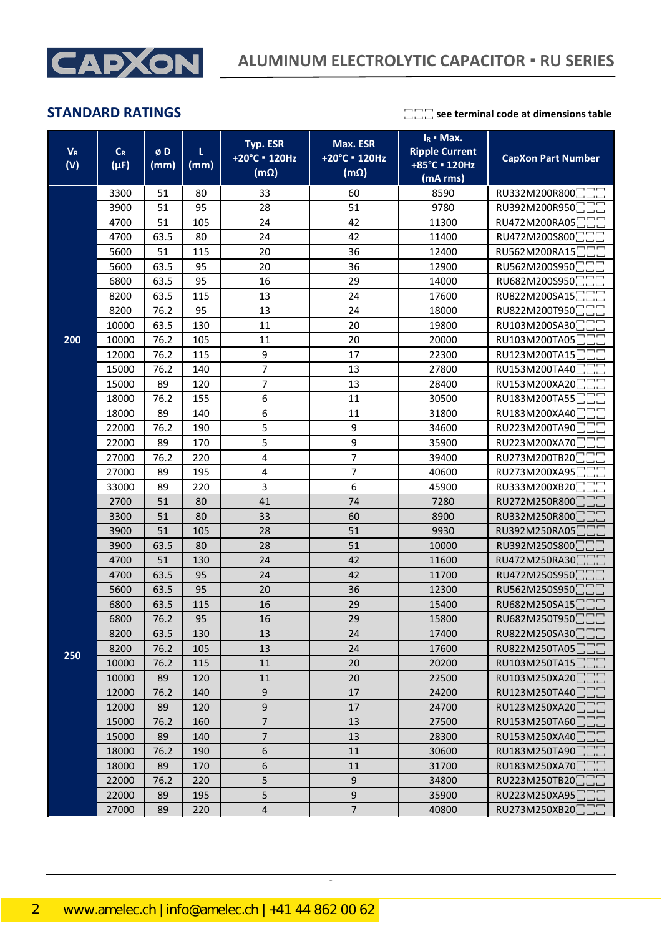

| $V_R$<br>(V) | $\mathsf{C}_{\mathsf{R}}$<br>$(\mu F)$ | øD<br>(mm) | L<br>(mm) | Typ. ESR<br>+20°C = 120Hz<br>$(m\Omega)$ | Max. ESR<br>+20°C = 120Hz<br>$(m\Omega)$ | $I_R$ • Max.<br><b>Ripple Current</b><br>+85°C · 120Hz<br>(mA rms) | <b>CapXon Part Number</b> |
|--------------|----------------------------------------|------------|-----------|------------------------------------------|------------------------------------------|--------------------------------------------------------------------|---------------------------|
|              | 3300                                   | 51         | 80        | 33                                       | 60                                       | 8590                                                               | RU332M200R800             |
|              | 3900                                   | 51         | 95        | 28                                       | 51                                       | 9780                                                               | RU392M200R950             |
|              | 4700                                   | 51         | 105       | 24                                       | 42                                       | 11300                                                              | RU472M200RA05             |
|              | 4700                                   | 63.5       | 80        | 24                                       | 42                                       | 11400                                                              | RU472M200S800             |
|              | 5600                                   | 51         | 115       | 20                                       | 36                                       | 12400                                                              | RU562M200RA15             |
|              | 5600                                   | 63.5       | 95        | 20                                       | 36                                       | 12900                                                              | RU562M200S950             |
|              | 6800                                   | 63.5       | 95        | 16                                       | 29                                       | 14000                                                              | RU682M200S950             |
|              | 8200                                   | 63.5       | 115       | 13                                       | 24                                       | 17600                                                              | RU822M200SA15             |
|              | 8200                                   | 76.2       | 95        | 13                                       | 24                                       | 18000                                                              | RU822M200T950             |
|              | 10000                                  | 63.5       | 130       | 11                                       | 20                                       | 19800                                                              | RU103M200SA30             |
| 200          | 10000                                  | 76.2       | 105       | 11                                       | 20                                       | 20000                                                              | RU103M200TA05             |
|              | 12000                                  | 76.2       | 115       | 9                                        | 17                                       | 22300                                                              | RU123M200TA15             |
|              | 15000                                  | 76.2       | 140       | $\overline{7}$                           | 13                                       | 27800                                                              | RU153M200TA40             |
|              | 15000                                  | 89         | 120       | $\overline{\mathcal{I}}$                 | 13                                       | 28400                                                              | RU153M200XA20             |
|              | 18000                                  | 76.2       | 155       | 6                                        | 11                                       | 30500                                                              | RU183M200TA55             |
|              | 18000                                  | 89         | 140       | 6                                        | 11                                       | 31800                                                              | RU183M200XA40             |
|              | 22000                                  | 76.2       | 190       | 5                                        | 9                                        | 34600                                                              | RU223M200TA90             |
|              | 22000                                  | 89         | 170       | 5                                        | 9                                        | 35900                                                              | RU223M200XA70             |
|              | 27000                                  | 76.2       | 220       | $\pmb{4}$                                | 7                                        | 39400                                                              | RU273M200TB20             |
|              | 27000                                  | 89         | 195       | 4                                        | 7                                        | 40600                                                              | RU273M200XA95             |
|              | 33000                                  | 89         | 220       | 3                                        | 6                                        | 45900                                                              | RU333M200XB20             |
|              | 2700                                   | 51         | 80        | 41                                       | 74                                       | 7280                                                               | RU272M250R800             |
|              | 3300                                   | 51         | 80        | 33                                       | 60                                       | 8900                                                               | RU332M250R800             |
|              | 3900                                   | 51         | 105       | 28                                       | 51                                       | 9930                                                               | RU392M250RA05             |
|              | 3900                                   | 63.5       | 80        | 28                                       | 51<br>10000                              |                                                                    | RU392M250S800             |
|              | 4700                                   | 51         | 130       | 24                                       | 42                                       | 11600                                                              | RU472M250RA30             |
|              | 4700                                   | 63.5       | 95        | 24                                       | 42                                       | 11700                                                              | RU472M250S950             |
|              | 5600                                   | 63.5       | 95        | 20                                       | 36                                       | 12300                                                              | RU562M250S950             |
|              | 6800                                   | 63.5       | 115       | 16                                       | 29                                       | 15400                                                              | RU682M250SA15             |
|              | 6800                                   | 76.2       | 95        | 16                                       | 29                                       | 15800                                                              | RU682M250T950             |
|              | 8200                                   | 63.5       | 130       | 13                                       | 24                                       | 17400                                                              | RU822M250SA30             |
| 250          | 8200                                   | 76.2       | 105       | 13                                       | 24                                       | 17600                                                              | RU822M250TA05             |
|              | 10000                                  | 76.2       | 115       | 11                                       | 20                                       | 20200                                                              | RU103M250TA15             |
|              | 10000                                  | 89         | 120       | $11\,$                                   | 20                                       | 22500                                                              | RU103M250XA20             |
|              | 12000                                  | 76.2       | 140       | $\mathsf 9$                              | 17                                       | 24200                                                              | RU123M250TA40             |
|              | 12000                                  | 89         | 120       | $\boldsymbol{9}$                         | 17                                       | 24700                                                              | RU123M250XA20             |
|              | 15000                                  | 76.2       | 160       |                                          | $\overline{7}$<br>13<br>27500            |                                                                    | RU153M250TA60             |
|              | 15000                                  | 89         | 140       | $\boldsymbol{7}$                         | 13                                       | 28300                                                              | RU153M250XA40             |
|              | 18000                                  | 76.2       | 190       | $\boldsymbol{6}$                         | 11                                       | 30600<br>RU183M250TA90                                             |                           |
|              | 18000                                  | 89         | 170       | 6                                        | 11                                       | 31700                                                              | RU183M250XA70             |
|              | 22000                                  | 76.2       | 220       | 5                                        | 9                                        | 34800                                                              | RU223M250TB20             |
|              | 22000                                  | 89         | 195       | 5                                        | 9                                        | 35900                                                              | RU223M250XA95             |
|              | 27000                                  | 89         | 220       | $\sqrt{4}$                               | $7\overline{ }$                          | 40800                                                              | RU273M250XB20             |

CapXon\_Ver. 001 – 03/31/2020 2 Document Number: RU series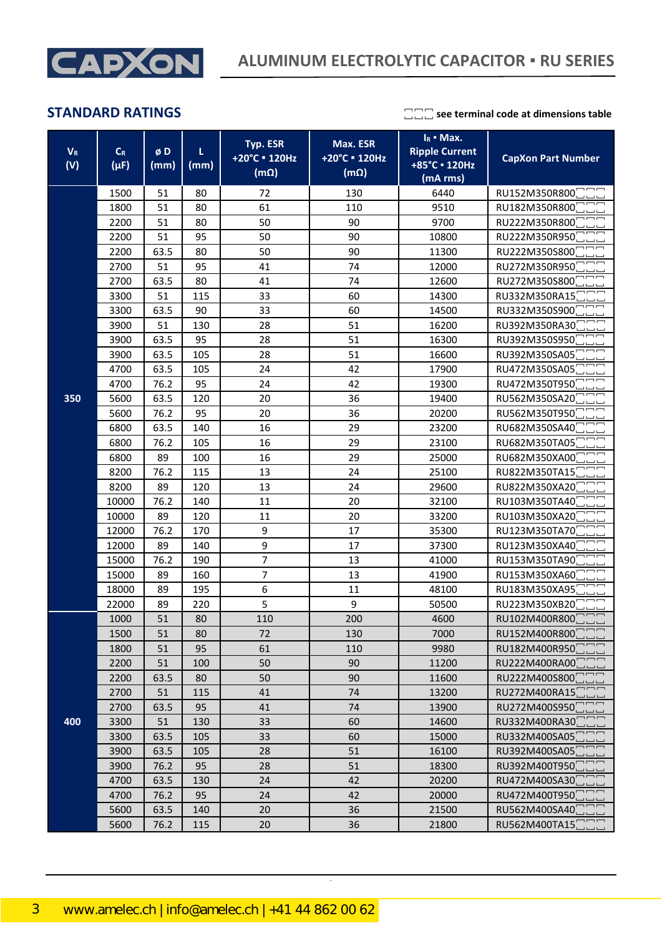

| $V_{R}$<br>(V) | $C_R$<br>$(\mu F)$ | øD<br>(mm) | L<br>(mm) | Typ. ESR<br>+20°C = 120Hz<br>$(m\Omega)$ | $I_R$ • Max.<br>Max. ESR<br><b>Ripple Current</b><br>+20°C = 120Hz<br>+85°C · 120Hz<br>$(m\Omega)$<br>(mA rms) |       | <b>CapXon Part Number</b> |  |
|----------------|--------------------|------------|-----------|------------------------------------------|----------------------------------------------------------------------------------------------------------------|-------|---------------------------|--|
|                | 1500               | 51         | 80        | 72                                       | 130                                                                                                            | 6440  | RU152M350R800             |  |
|                | 1800               | 51         | 80        | 61                                       | 110                                                                                                            | 9510  | RU182M350R800             |  |
|                | 2200               | 51         | 80        | 50                                       | 90                                                                                                             | 9700  | RU222M350R800             |  |
|                | 2200               | 51         | 95        | 50                                       | 90                                                                                                             | 10800 | RU222M350R950             |  |
|                | 2200               | 63.5       | 80        | 50                                       | 90                                                                                                             | 11300 | RU222M350S800             |  |
|                | 2700               | 51         | 95        | 41                                       | 74                                                                                                             | 12000 | RU272M350R950             |  |
|                | 2700               | 63.5       | 80        | 41<br>74<br>60                           |                                                                                                                | 12600 | RU272M350S800             |  |
|                | 3300               | 51         | 115       | 33                                       |                                                                                                                | 14300 | RU332M350RA15             |  |
|                | 3300               | 63.5       | 90        | 33                                       | 60                                                                                                             | 14500 | RU332M350S900             |  |
|                | 3900               | 51         | 130       | 28                                       | 51                                                                                                             | 16200 | RU392M350RA30             |  |
|                | 3900               | 63.5       | 95        | 28                                       | 51                                                                                                             | 16300 | RU392M350S950             |  |
|                | 3900               | 63.5       | 105       | 28                                       | 51                                                                                                             | 16600 | RU392M350SA05             |  |
|                | 4700               | 63.5       | 105       | 24                                       | 42                                                                                                             | 17900 | RU472M350SA05             |  |
|                | 4700               | 76.2       | 95        | 24                                       | 42                                                                                                             | 19300 | RU472M350T950             |  |
| 350            | 5600               | 63.5       | 120       | 20                                       | 36                                                                                                             | 19400 | RU562M350SA20             |  |
|                | 5600               | 76.2       | 95        | 20                                       | 36                                                                                                             | 20200 | RU562M350T950             |  |
|                | 6800               | 63.5       | 140       | 16                                       | 29                                                                                                             | 23200 | RU682M350SA40             |  |
|                | 6800               | 76.2       | 105       | 16                                       | 29                                                                                                             | 23100 | RU682M350TA05             |  |
|                | 6800               | 89         | 100       | 16                                       | 29                                                                                                             | 25000 | RU682M350XA00             |  |
|                | 8200               | 76.2       | 115       | 13                                       | 24                                                                                                             | 25100 | RU822M350TA15             |  |
|                | 8200               | 89         | 120       | 13                                       | 24                                                                                                             | 29600 | RU822M350XA20             |  |
|                | 10000              | 76.2       | 140       | 11                                       | 20                                                                                                             | 32100 | RU103M350TA40             |  |
|                | 10000              | 89         | 120       | 11                                       | 20                                                                                                             | 33200 | RU103M350XA20             |  |
|                | 12000              | 76.2       | 170       | 9                                        | 17                                                                                                             | 35300 | RU123M350TA70             |  |
|                | 12000              | 89         | 140       | 9                                        | 17                                                                                                             | 37300 | RU123M350XA40             |  |
|                | 15000              | 76.2       | 190       | 7                                        | 13                                                                                                             | 41000 | RU153M350TA90             |  |
|                | 15000              | 89         | 160       | 7                                        | 13                                                                                                             | 41900 | RU153M350XA60             |  |
|                | 18000              | 89         | 195       | 6                                        | 11                                                                                                             | 48100 | RU183M350XA95             |  |
|                | 22000              | 89         | 220       | 5                                        | 9                                                                                                              | 50500 | RU223M350XB20             |  |
|                | 1000               | 51         | 80        | 110                                      | 200                                                                                                            | 4600  | RU102M400R800             |  |
|                | 1500               | 51         | 80        | 72                                       | 130                                                                                                            | 7000  | RU152M400R800             |  |
|                | 1800               | 51         | 95        | 61                                       | 110                                                                                                            | 9980  | RU182M400R950             |  |
|                | 2200               | 51         | 100       | 50                                       | 90                                                                                                             | 11200 | RU222M400RA00             |  |
|                | 2200               | 63.5       | 80        | 50                                       | 90                                                                                                             | 11600 | RU222M400S800             |  |
|                | 2700               | 51         | 115       | 41                                       | 74                                                                                                             | 13200 | RU272M400RA15             |  |
|                | 2700               | 63.5       | 95        | 41                                       | 74                                                                                                             | 13900 | RU272M400S950             |  |
| 400            | 3300               | 51         | 130       | 33                                       | 60                                                                                                             | 14600 | RU332M400RA30             |  |
|                | 3300               | 63.5       | 105       | 33                                       | 60                                                                                                             | 15000 | RU332M400SA05             |  |
|                | 3900               | 63.5       | 105       | 28                                       | 51                                                                                                             | 16100 | RU392M400SA05             |  |
|                | 3900               | 76.2       | 95        | 28                                       | 51                                                                                                             | 18300 | RU392M400T950             |  |
|                | 4700               | 63.5       | 130       | 24                                       | 42                                                                                                             | 20200 | RU472M400SA30             |  |
|                | 4700               | 76.2       | 95        | 24                                       | 42                                                                                                             | 20000 | RU472M400T950             |  |
|                | 5600               | 63.5       | 140       | 20                                       | 36                                                                                                             | 21500 | RU562M400SA40             |  |
|                | 5600               | 76.2       | 115       | 20                                       | 36                                                                                                             | 21800 | RU562M400TA15             |  |

CapXon\_Ver. 001 – 03/31/2020 3 Document Number: RU series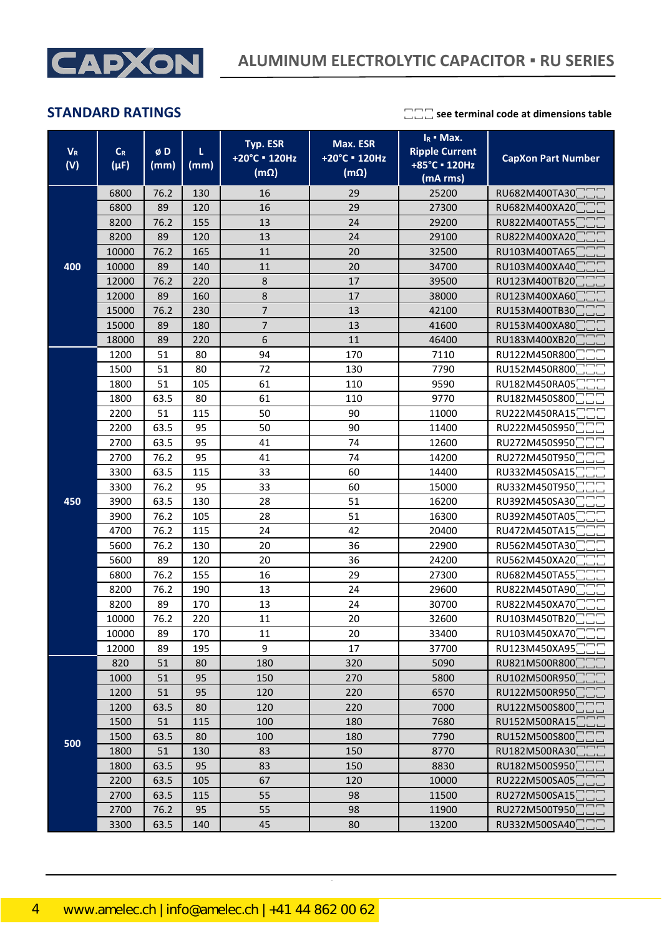

| $V_{R}$<br>(V) | $\mathsf{C}_{\mathsf{R}}$<br>$(\mu F)$ | øD<br>(mm) | L<br>(mm) | <b>Typ. ESR</b><br>+20°C = 120Hz<br>$(m\Omega)$ | Max. ESR<br>+20°C = 120Hz<br>$(m\Omega)$ | $I_R$ • Max.<br><b>Ripple Current</b><br>+85°C · 120Hz<br>(mA rms) | <b>CapXon Part Number</b> |
|----------------|----------------------------------------|------------|-----------|-------------------------------------------------|------------------------------------------|--------------------------------------------------------------------|---------------------------|
|                | 6800                                   | 76.2       | 130       | 16                                              | 29                                       | 25200                                                              | RU682M400TA30             |
|                | 6800                                   | 89         | 120       | 16                                              | 29                                       | 27300                                                              | RU682M400XA20             |
|                | 8200                                   | 76.2       | 155       | 13                                              | 24                                       | 29200                                                              | RU822M400TA55             |
|                | 8200                                   | 89         | 120       | 13                                              | 24                                       | 29100                                                              | RU822M400XA20             |
|                | 10000                                  | 76.2       | 165       | 11                                              | 20                                       | 32500                                                              | RU103M400TA65             |
| 400            | 10000                                  | 89         | 140       | 11                                              | 20                                       | 34700                                                              | RU103M400XA40             |
|                | 12000                                  | 76.2       | 220       | 8                                               | 17                                       | 39500                                                              | RU123M400TB20             |
|                | 12000                                  | 89         | 160       | 8                                               | 17                                       | 38000                                                              | RU123M400XA60             |
|                | 15000                                  | 76.2       | 230       | 7                                               | 13                                       | 42100                                                              | RU153M400TB30             |
|                | 15000                                  | 89         | 180       | $\overline{7}$                                  | 13                                       | 41600                                                              | RU153M400XA80             |
|                | 18000                                  | 89         | 220       | 6                                               | 11                                       | 46400                                                              | RU183M400XB20             |
|                | 1200                                   | 51         | 80        | 94                                              | 170                                      | 7110                                                               | RU122M450R800             |
|                | 1500                                   | 51         | 80        | 72                                              | 130                                      | 7790                                                               | RU152M450R800             |
|                | 1800                                   | 51         | 105       | 61                                              | 110                                      | 9590                                                               | RU182M450RA05             |
|                | 1800                                   | 63.5       | 80        | 61                                              | 110                                      | 9770                                                               | RU182M450S800             |
|                | 2200                                   | 51         | 115       | 50                                              | 90                                       | 11000                                                              | RU222M450RA15             |
|                | 2200                                   | 63.5       | 95        | 50                                              | 90                                       | 11400                                                              | RU222M450S950             |
|                | 2700                                   | 63.5       | 95        | 41                                              | 74                                       | 12600                                                              | RU272M450S950             |
|                | 2700                                   | 76.2       | 95        | 41                                              | 74                                       | 14200                                                              | RU272M450T950             |
|                | 3300                                   | 63.5       | 115       | 33                                              | 60                                       | 14400                                                              | RU332M450SA15             |
|                | 3300                                   | 76.2       | 95        | 33                                              | 60                                       | 15000                                                              | RU332M450T950             |
| 450            | 3900                                   | 63.5       | 130       | 28                                              | 51                                       | 16200                                                              | RU392M450SA30             |
|                | 3900                                   | 76.2       | 105       | 28                                              | 51                                       | 16300                                                              | RU392M450TA05             |
|                | 4700                                   | 76.2       | 115       | 24                                              | 42                                       | 20400                                                              | RU472M450TA15             |
|                | 5600                                   | 76.2       | 130       | 20                                              | 36                                       | 22900                                                              | RU562M450TA30             |
|                | 5600                                   | 89         | 120       | 20                                              | 36                                       | 24200                                                              | RU562M450XA20             |
|                | 6800                                   | 76.2       | 155       | 16                                              | 29                                       | 27300                                                              | RU682M450TA55             |
|                | 8200                                   | 76.2       | 190       | 13                                              | 24                                       | 29600                                                              | RU822M450TA90             |
|                | 8200                                   | 89         | 170       | 13                                              | 24                                       | 30700                                                              | RU822M450XA70             |
|                | 10000                                  | 76.2       | 220       | 11                                              | 20                                       | 32600                                                              | RU103M450TB20             |
|                | 10000                                  | 89         | 170       | 11                                              | 20                                       | 33400                                                              | RU103M450XA70             |
|                | 12000                                  | 89         | 195       | 9                                               | 17                                       | 37700                                                              | RU123M450XA95             |
|                | 820                                    | 51         | 80        | 180                                             | 320                                      | 5090                                                               | RU821M500R800             |
|                | 1000                                   | 51         | 95        | 150                                             | 270                                      | 5800                                                               | RU102M500R950             |
|                | 1200                                   | 51         | 95        | 120                                             | 220                                      | 6570                                                               | RU122M500R950             |
|                | 1200                                   | 63.5       | 80        | 120                                             | 220                                      | 7000                                                               | RU122M500S800             |
|                | 1500                                   | 51         | 115       | 100                                             | 180                                      | 7680                                                               | RU152M500RA15             |
| 500            | 1500                                   | 63.5       | 80        | 100                                             | 180                                      | 7790                                                               | RU152M500S800             |
|                | 1800                                   | 51         | 130       | 83                                              | 150                                      | 8770                                                               | RU182M500RA30             |
|                | 1800                                   | 63.5       | 95        | 83                                              | 150                                      | 8830                                                               | RU182M500S950             |
|                | 2200                                   | 63.5       | 105       | 67                                              | 120                                      | 10000                                                              | RU222M500SA05             |
|                | 2700                                   | 63.5       | 115       | 55                                              | 98                                       | 11500                                                              | RU272M500SA15             |
|                | 2700                                   | 76.2       | 95        | 55                                              | 98                                       | 11900                                                              | RU272M500T950             |
|                | 3300                                   | 63.5       | 140       | 45                                              | 80                                       | 13200                                                              | RU332M500SA40             |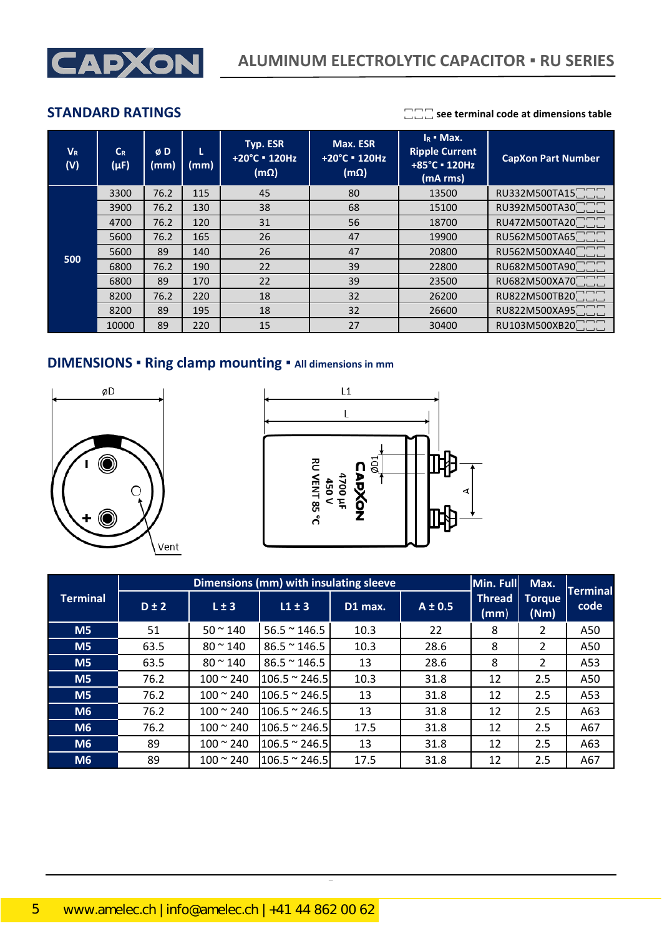

| $V_R$<br>(V) | $C_R$<br>$(\mu F)$ | øD<br>(mm) | (mm) | Typ. ESR<br>+20°C = 120Hz<br>$(m\Omega)$ | Max. ESR<br>+20°C = 120Hz<br>$(m\Omega)$ | $I_R$ • Max.<br><b>Ripple Current</b><br>+85°C = 120Hz<br>(mA rms) | <b>CapXon Part Number</b> |
|--------------|--------------------|------------|------|------------------------------------------|------------------------------------------|--------------------------------------------------------------------|---------------------------|
|              | 3300               | 76.2       | 115  | 45                                       | 80                                       | 13500                                                              | RU332M500TA15□□□          |
|              | 3900               | 76.2       | 130  | 38                                       | 68                                       | 15100                                                              | RU392M500TA30□□□          |
|              | 4700               | 76.2       | 120  | 31                                       | 56                                       | 18700                                                              | RU472M500TA200000         |
|              | 5600               | 76.2       | 165  | 26                                       | 47                                       | 19900                                                              | RU562M500TA65000          |
| 500          | 5600               | 89         | 140  | 26                                       | 47                                       | 20800                                                              | RU562M500XA400000         |
|              | 6800               | 76.2       | 190  | 22                                       | 39                                       | 22800                                                              | RU682M500TA900000         |
|              | 6800               | 89         | 170  | 22                                       | 39                                       | 23500                                                              | RU682M500XA700000         |
|              | 8200               | 76.2       | 220  | 18                                       | 32                                       | 26200                                                              | RU822M500TB200000         |
|              | 8200               | 89         | 195  | 18                                       | 32                                       | 26600                                                              | RU822M500XA95□□□          |
|              | 10000              | 89         | 220  | 15                                       | 27                                       | 30400                                                              | RU103M500XB20□□□          |

## **DIMENSIONS ▪ Ring clamp mounting ▪ All dimensions in mm**





|                 |           | Dimensions (mm) with insulating sleeve | Min. Full             | Max.    | Terminal    |                                      |                       |      |
|-----------------|-----------|----------------------------------------|-----------------------|---------|-------------|--------------------------------------|-----------------------|------|
| <b>Terminal</b> | $D \pm 2$ | $L \pm 3$                              | $L1 \pm 3$            | D1 max. | $A \pm 0.5$ | Thread<br>$\mathsf{ \mathsf{(mm)} }$ | <b>Torque</b><br>(Nm) | code |
| M <sub>5</sub>  | 51        | $50 \approx 140$                       | $56.5 \approx 146.5$  | 10.3    | 22          | 8                                    | 2                     | A50  |
| M <sub>5</sub>  | 63.5      | $80 \approx 140$                       | $86.5 \approx 146.5$  | 10.3    | 28.6        | 8                                    | 2                     | A50  |
| M <sub>5</sub>  | 63.5      | $80 \approx 140$                       | $86.5 \approx 146.5$  | 13      | 28.6        | 8                                    | $\mathcal{P}$         | A53  |
| M <sub>5</sub>  | 76.2      | $100 \approx 240$                      | $106.5 \approx 246.5$ | 10.3    | 31.8        | 12                                   | 2.5                   | A50  |
| M <sub>5</sub>  | 76.2      | $100 \approx 240$                      | $106.5 \approx 246.5$ | 13      | 31.8        | 12                                   | 2.5                   | A53  |
| <b>M6</b>       | 76.2      | $100 \approx 240$                      | $106.5 \approx 246.5$ | 13      | 31.8        | 12                                   | 2.5                   | A63  |
| M6              | 76.2      | $100 - 240$                            | $106.5 \approx 246.5$ | 17.5    | 31.8        | 12                                   | 2.5                   | A67  |
| M6              | 89        | $100 \approx 240$                      | $106.5 \approx 246.5$ | 13      | 31.8        | 12                                   | 2.5                   | A63  |
| M6              | 89        | $100 - 240$                            | $106.5 \approx 246.5$ | 17.5    | 31.8        | 12                                   | 2.5                   | A67  |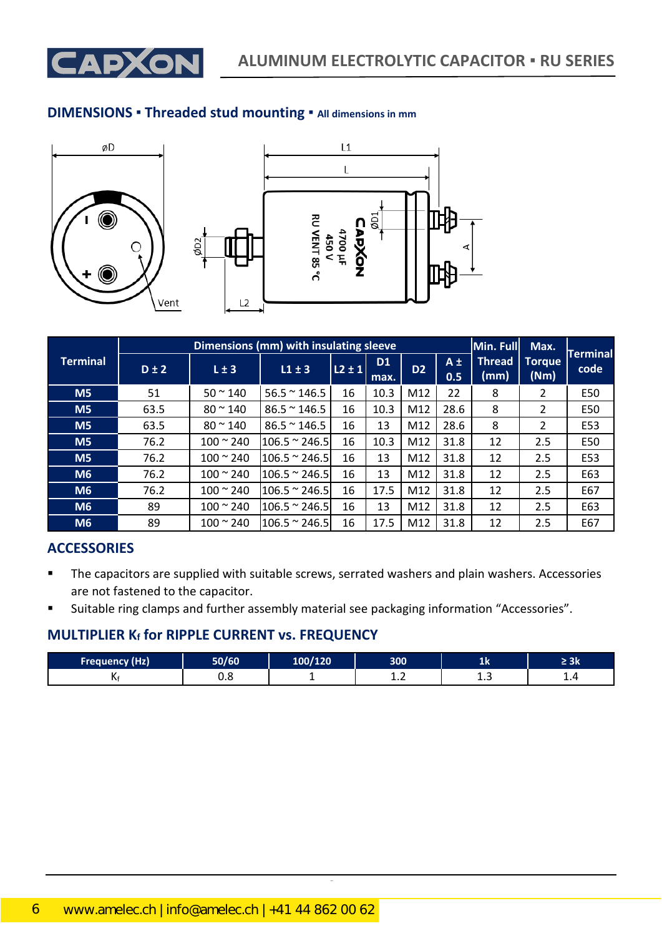

### **DIMENSIONS ▪ Threaded stud mounting ▪ All dimensions in mm**







|                 |           | Dimensions (mm) with insulating sleeve | Min. Full             | Max.       | <b>Terminal</b>   |                |                |                       |                       |      |
|-----------------|-----------|----------------------------------------|-----------------------|------------|-------------------|----------------|----------------|-----------------------|-----------------------|------|
| <b>Terminal</b> | $D \pm 2$ | $L \pm 3$                              | $L1 \pm 3$            | $L2 \pm 1$ | <b>D1</b><br>max. | D <sub>2</sub> | $A \pm$<br>0.5 | <b>Thread</b><br>(mm) | <b>Torque</b><br>(Nm) | code |
| M <sub>5</sub>  | 51        | $50 \approx 140$                       | $56.5 \approx 146.5$  | 16         | 10.3              | M12            | 22             | 8                     | 2                     | E50  |
| M <sub>5</sub>  | 63.5      | $80 \, \degree \, 140$                 | $86.5 \approx 146.5$  | 16         | 10.3              | M12            | 28.6           | 8                     | 2                     | E50  |
| M <sub>5</sub>  | 63.5      | $80 \approx 140$                       | $86.5 \approx 146.5$  | 16         | 13                | M12            | 28.6           | 8                     | 2                     | E53  |
| M <sub>5</sub>  | 76.2      | $100 - 240$                            | $106.5 \approx 246.5$ | 16         | 10.3              | M12            | 31.8           | 12                    | 2.5                   | E50  |
| M <sub>5</sub>  | 76.2      | $100 \times 240$                       | $106.5 \approx 246.5$ | 16         | 13                | M12            | 31.8           | 12                    | 2.5                   | E53  |
| M <sub>6</sub>  | 76.2      | $100 \times 240$                       | $106.5 \approx 246.5$ | 16         | 13                | M12            | 31.8           | 12                    | 2.5                   | E63  |
| M <sub>6</sub>  | 76.2      | $100 \times 240$                       | $106.5 \approx 246.5$ | 16         | 17.5              | M12            | 31.8           | 12                    | 2.5                   | E67  |
| M <sub>6</sub>  | 89        | $100 \approx 240$                      | $106.5 \approx 246.5$ | 16         | 13                | M12            | 31.8           | 12                    | 2.5                   | E63  |
| M <sub>6</sub>  | 89        | $100 \times 240$                       | $106.5 \approx 246.5$ | 16         | 17.5              | M12            | 31.8           | 12                    | 2.5                   | E67  |

### **ACCESSORIES**

- The capacitors are supplied with suitable screws, serrated washers and plain washers. Accessories are not fastened to the capacitor.
- Suitable ring clamps and further assembly material see packaging information "Accessories".

### **MULTIPLIER K<sup>f</sup> for RIPPLE CURRENT vs. FREQUENCY**

| <b>Frequency (Hz)</b> | 50/60 | 100/120 | 300        | дN            | ≤ JN |
|-----------------------|-------|---------|------------|---------------|------|
|                       | ∪.∪   |         | <b>1.L</b> | ---<br>$\sim$ | . .  |

CapXon\_Ver. 001 – 03/31/2020 6 Document Number: RU series